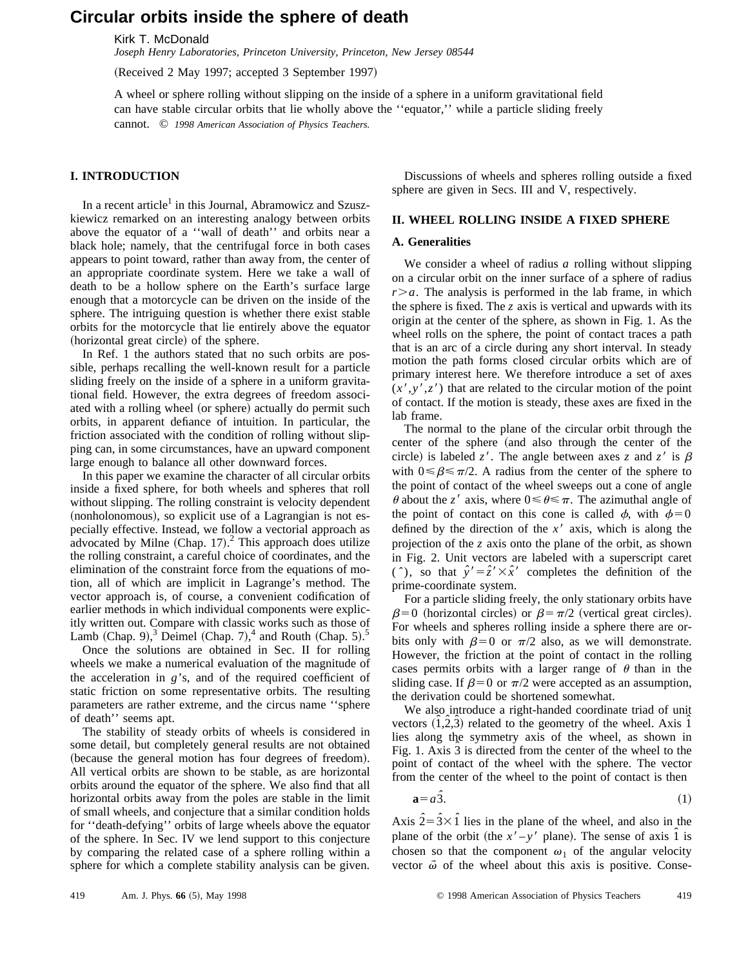# **Circular orbits inside the sphere of death**

Kirk T. McDonald

*Joseph Henry Laboratories, Princeton University, Princeton, New Jersey 08544*

(Received 2 May 1997; accepted 3 September 1997)

A wheel or sphere rolling without slipping on the inside of a sphere in a uniform gravitational field can have stable circular orbits that lie wholly above the ''equator,'' while a particle sliding freely cannot. © *1998 American Association of Physics Teachers.*

# **I. INTRODUCTION**

In a recent article<sup>1</sup> in this Journal, Abramowicz and Szuszkiewicz remarked on an interesting analogy between orbits above the equator of a ''wall of death'' and orbits near a black hole; namely, that the centrifugal force in both cases appears to point toward, rather than away from, the center of an appropriate coordinate system. Here we take a wall of death to be a hollow sphere on the Earth's surface large enough that a motorcycle can be driven on the inside of the sphere. The intriguing question is whether there exist stable orbits for the motorcycle that lie entirely above the equator (horizontal great circle) of the sphere.

In Ref. 1 the authors stated that no such orbits are possible, perhaps recalling the well-known result for a particle sliding freely on the inside of a sphere in a uniform gravitational field. However, the extra degrees of freedom associated with a rolling wheel (or sphere) actually do permit such orbits, in apparent defiance of intuition. In particular, the friction associated with the condition of rolling without slipping can, in some circumstances, have an upward component large enough to balance all other downward forces.

In this paper we examine the character of all circular orbits inside a fixed sphere, for both wheels and spheres that roll without slipping. The rolling constraint is velocity dependent (nonholonomous), so explicit use of a Lagrangian is not especially effective. Instead, we follow a vectorial approach as advocated by Milne (Chap. 17).<sup>2</sup> This approach does utilize the rolling constraint, a careful choice of coordinates, and the elimination of the constraint force from the equations of motion, all of which are implicit in Lagrange's method. The vector approach is, of course, a convenient codification of earlier methods in which individual components were explicitly written out. Compare with classic works such as those of Lamb (Chap. 9),<sup>3</sup> Deimel (Chap. 7),<sup>4</sup> and Routh (Chap. 5).<sup>5</sup>

Once the solutions are obtained in Sec. II for rolling wheels we make a numerical evaluation of the magnitude of the acceleration in *g*'s, and of the required coefficient of static friction on some representative orbits. The resulting parameters are rather extreme, and the circus name ''sphere of death'' seems apt.

The stability of steady orbits of wheels is considered in some detail, but completely general results are not obtained (because the general motion has four degrees of freedom). All vertical orbits are shown to be stable, as are horizontal orbits around the equator of the sphere. We also find that all horizontal orbits away from the poles are stable in the limit of small wheels, and conjecture that a similar condition holds for ''death-defying'' orbits of large wheels above the equator of the sphere. In Sec. IV we lend support to this conjecture by comparing the related case of a sphere rolling within a sphere for which a complete stability analysis can be given.

Discussions of wheels and spheres rolling outside a fixed sphere are given in Secs. III and V, respectively.

# **II. WHEEL ROLLING INSIDE A FIXED SPHERE**

### **A. Generalities**

We consider a wheel of radius *a* rolling without slipping on a circular orbit on the inner surface of a sphere of radius  $r > a$ . The analysis is performed in the lab frame, in which the sphere is fixed. The *z* axis is vertical and upwards with its origin at the center of the sphere, as shown in Fig. 1. As the wheel rolls on the sphere, the point of contact traces a path that is an arc of a circle during any short interval. In steady motion the path forms closed circular orbits which are of primary interest here. We therefore introduce a set of axes  $(x', y', z')$  that are related to the circular motion of the point of contact. If the motion is steady, these axes are fixed in the lab frame.

The normal to the plane of the circular orbit through the center of the sphere (and also through the center of the circle) is labeled  $z'$ . The angle between axes  $z$  and  $z'$  is  $\beta$ with  $0 \le \beta \le \pi/2$ . A radius from the center of the sphere to the point of contact of the wheel sweeps out a cone of angle  $\theta$  about the *z'* axis, where  $0 \le \theta \le \pi$ . The azimuthal angle of the point of contact on this cone is called  $\phi$ , with  $\phi=0$ defined by the direction of the  $x<sup>3</sup>$  axis, which is along the projection of the *z* axis onto the plane of the orbit, as shown in Fig. 2. Unit vectors are labeled with a superscript caret ( $\hat{y}$ ), so that  $\hat{y}' = \hat{z}' \times \hat{x}'$  completes the definition of the prime-coordinate system.

For a particle sliding freely, the only stationary orbits have  $\beta=0$  (horizontal circles) or  $\beta=\pi/2$  (vertical great circles). For wheels and spheres rolling inside a sphere there are orbits only with  $\beta=0$  or  $\pi/2$  also, as we will demonstrate. However, the friction at the point of contact in the rolling cases permits orbits with a larger range of  $\theta$  than in the sliding case. If  $\beta$ =0 or  $\pi/2$  were accepted as an assumption, the derivation could be shortened somewhat.

We also introduce a right-handed coordinate triad of unit vectors  $(1, 2, 3)$  related to the geometry of the wheel. Axis 1 $\overline{1}$ lies along the symmetry axis of the wheel, as shown in Fig. 1. Axis 3 is directed from the center of the wheel to the point of contact of the wheel with the sphere. The vector from the center of the wheel to the point of contact is then

$$
\mathbf{a} = a\hat{3}.\tag{1}
$$

Axis  $\hat{2} = \hat{3} \times \hat{1}$  lies in the plane of the wheel, and also in the plane of the orbit (the  $x' - y'$  plane). The sense of axis  $\hat{1}$  is chosen so that the component  $\omega_1$  of the angular velocity vector  $\vec{\omega}$  of the wheel about this axis is positive. Conse-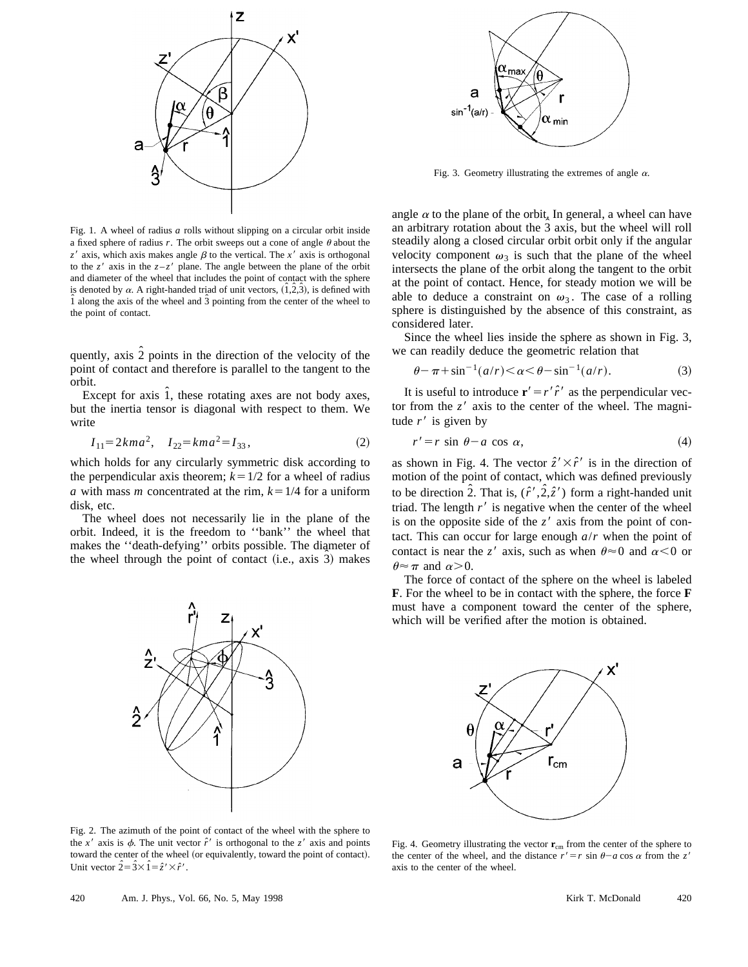

Fig. 1. A wheel of radius *a* rolls without slipping on a circular orbit inside a fixed sphere of radius  $r$ . The orbit sweeps out a cone of angle  $\theta$  about the  $z<sup>8</sup>$  axis, which axis makes angle  $\beta$  to the vertical. The *x*<sup>8</sup> axis is orthogonal to the  $z'$  axis in the  $z-z'$  plane. The angle between the plane of the orbit and diameter of the wheel that includes the point of contact with the sphere is denoted by  $\alpha$ . A right-handed triad of unit vectors,  $(\hat{1}, \hat{2}, \hat{3})$ , is defined with  $\hat{1}$  along the axis of the wheel and  $\hat{3}$  pointing from the center of the wheel to the point of contact.

quently, axis  $\hat{2}$  points in the direction of the velocity of the point of contact and therefore is parallel to the tangent to the orbit.

Except for axis  $\hat{1}$ , these rotating axes are not body axes, but the inertia tensor is diagonal with respect to them. We write

$$
I_{11} = 2kma^2, \quad I_{22} = km a^2 = I_{33},\tag{2}
$$

which holds for any circularly symmetric disk according to the perpendicular axis theorem;  $k=1/2$  for a wheel of radius *a* with mass *m* concentrated at the rim,  $k=1/4$  for a uniform disk, etc.

The wheel does not necessarily lie in the plane of the orbit. Indeed, it is the freedom to ''bank'' the wheel that makes the ''death-defying'' orbits possible. The diameter of the wheel through the point of contact  $(i.e., axis 3)$  makes





Fig. 3. Geometry illustrating the extremes of angle  $\alpha$ .

angle  $\alpha$  to the plane of the orbit. In general, a wheel can have an arbitrary rotation about the 3 axis, but the wheel will roll steadily along a closed circular orbit orbit only if the angular velocity component  $\omega_3$  is such that the plane of the wheel intersects the plane of the orbit along the tangent to the orbit at the point of contact. Hence, for steady motion we will be able to deduce a constraint on  $\omega_3$ . The case of a rolling sphere is distinguished by the absence of this constraint, as considered later.

Since the wheel lies inside the sphere as shown in Fig. 3, we can readily deduce the geometric relation that

$$
\theta - \pi + \sin^{-1}(a/r) < \alpha < \theta - \sin^{-1}(a/r). \tag{3}
$$

It is useful to introduce  $\mathbf{r}' = r' \hat{r}'$  as the perpendicular vector from the  $z<sup>3</sup>$  axis to the center of the wheel. The magnitude  $r'$  is given by

$$
r' = r \sin \theta - a \cos \alpha, \tag{4}
$$

as shown in Fig. 4. The vector  $\hat{z}' \times \hat{r}'$  is in the direction of motion of the point of contact, which was defined previously to be direction  $\hat{2}$ . That is,  $(\hat{r}', \hat{2}, \hat{z}')$  form a right-handed unit triad. The length  $r<sup>3</sup>$  is negative when the center of the wheel is on the opposite side of the  $z<sup>7</sup>$  axis from the point of contact. This can occur for large enough  $a/r$  when the point of contact is near the *z'* axis, such as when  $\theta \approx 0$  and  $\alpha < 0$  or  $\theta \approx \pi$  and  $\alpha$  > 0.

The force of contact of the sphere on the wheel is labeled **F**. For the wheel to be in contact with the sphere, the force **F** must have a component toward the center of the sphere, which will be verified after the motion is obtained.



Fig. 2. The azimuth of the point of contact of the wheel with the sphere to the *x'* axis is  $\phi$ . The unit vector  $\hat{r}$ ' is orthogonal to the *z'* axis and points toward the center of the wheel (or equivalently, toward the point of contact). Unit vector  $\hat{2} = \hat{3} \times \hat{1} = \hat{z}' \times \hat{r}'$ .

Fig. 4. Geometry illustrating the vector  $\mathbf{r}_{cm}$  from the center of the sphere to the center of the wheel, and the distance  $r' = r \sin \theta - a \cos \alpha$  from the *z'* axis to the center of the wheel.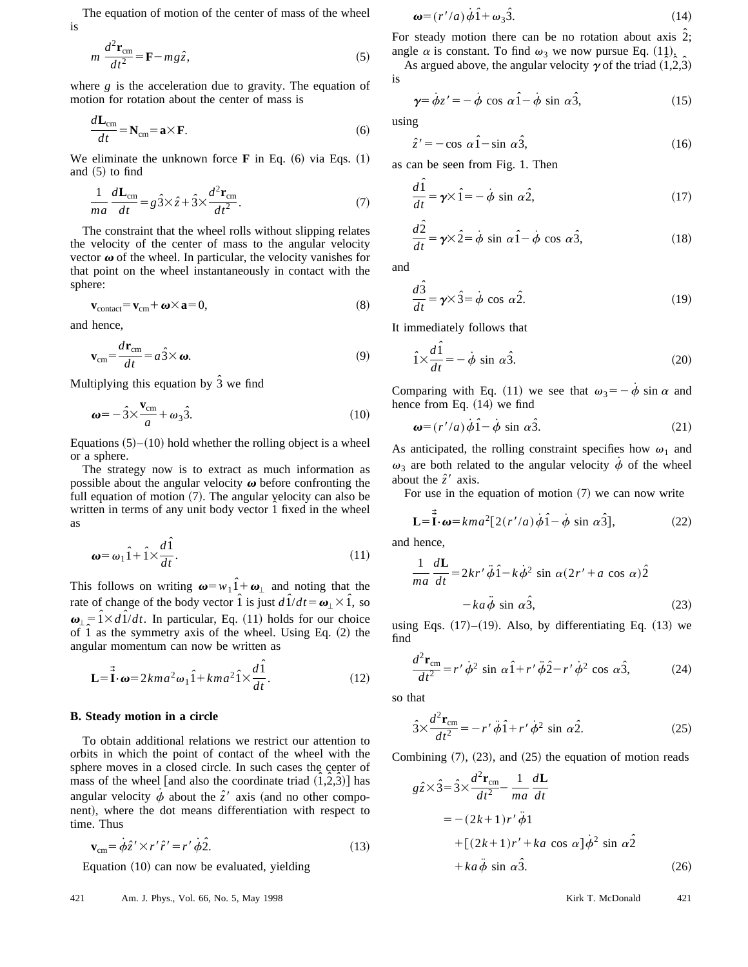The equation of motion of the center of mass of the wheel is

$$
m\,\frac{d^2\mathbf{r}_{\rm cm}}{dt^2} = \mathbf{F} - mg\,\hat{z},\tag{5}
$$

where *g* is the acceleration due to gravity. The equation of motion for rotation about the center of mass is

$$
\frac{d\mathbf{L}_{\text{cm}}}{dt} = \mathbf{N}_{\text{cm}} = \mathbf{a} \times \mathbf{F}.\tag{6}
$$

We eliminate the unknown force  $\bf{F}$  in Eq.  $(6)$  via Eqs.  $(1)$ and  $(5)$  to find

$$
\frac{1}{ma}\frac{d\mathbf{L}_{cm}}{dt} = g\hat{3}\times\hat{z} + \hat{3}\times\frac{d^2\mathbf{r}_{cm}}{dt^2}.
$$
 (7)

The constraint that the wheel rolls without slipping relates the velocity of the center of mass to the angular velocity vector  $\boldsymbol{\omega}$  of the wheel. In particular, the velocity vanishes for that point on the wheel instantaneously in contact with the sphere:

$$
\mathbf{v}_{\text{contact}} = \mathbf{v}_{\text{cm}} + \boldsymbol{\omega} \times \mathbf{a} = 0,\tag{8}
$$

and hence,

$$
\mathbf{v}_{\rm cm} = \frac{d\mathbf{r}_{\rm cm}}{dt} = a\hat{3} \times \boldsymbol{\omega}.
$$
 (9)

Multiplying this equation by  $\hat{3}$  we find

$$
\omega = -\hat{3} \times \frac{\mathbf{v}_{\rm cm}}{a} + \omega_3 \hat{3}.
$$
 (10)

Equations  $(5)–(10)$  hold whether the rolling object is a wheel or a sphere.

The strategy now is to extract as much information as possible about the angular velocity  $\boldsymbol{\omega}$  before confronting the full equation of motion  $(7)$ . The angular velocity can also be written in terms of any unit body vector 1 fixed in the wheel as

$$
\boldsymbol{\omega} = \omega_1 \hat{1} + \hat{1} \times \frac{d\hat{1}}{dt}.
$$
\n(11)

This follows on writing  $\boldsymbol{\omega} = w_1 \hat{1} + \boldsymbol{\omega}_1$  and noting that the rate of change of the body vector  $\hat{1}$  is just  $d\hat{1}/dt = \omega_{\perp} \times \hat{1}$ , so  $\omega_{\perp} = \hat{i} \times d\hat{i}/dt$ . In particular, Eq. (11) holds for our choice of  $\hat{1}$  as the symmetry axis of the wheel. Using Eq. (2) the angular momentum can now be written as

$$
\mathbf{L} = \mathbf{\vec{I}} \cdot \boldsymbol{\omega} = 2kma^2\omega_1\hat{1} + kma^2\hat{1} \times \frac{d\hat{1}}{dt}.
$$
 (12)

# **B. Steady motion in a circle**

To obtain additional relations we restrict our attention to orbits in which the point of contact of the wheel with the sphere moves in a closed circle. In such cases the center of mass of the wheel [and also the coordinate triad  $(1,2,3)$ ] has angular velocity  $\phi$  about the  $\hat{z}'$  axis (and no other component), where the dot means differentiation with respect to time. Thus

$$
\mathbf{v}_{\rm cm} = \dot{\phi}\hat{z}' \times r'\hat{r}' = r'\dot{\phi}\hat{2}.\tag{13}
$$

Equation  $(10)$  can now be evaluated, yielding

421 Am. J. Phys., Vol. 66, No. 5, May 1998 **Kirk T. McDonald** 421

$$
\boldsymbol{\omega} = (r'/a)\dot{\phi}\hat{1} + \omega_3\hat{3}.\tag{14}
$$

For steady motion there can be no rotation about axis 2; angle  $\alpha$  is constant. To find  $\omega_3$  we now pursue Eq. (11). As argued above, the angular velocity  $\gamma$  of the triad  $(\hat{1}, \hat{2}, \hat{3})$ 

is

$$
\gamma = \dot{\phi} z' = -\dot{\phi} \cos \alpha \hat{1} - \dot{\phi} \sin \alpha \hat{3}, \qquad (15)
$$

using

$$
\hat{z}' = -\cos\,\alpha\,\hat{1} - \sin\,\alpha\,\hat{3},\tag{16}
$$

as can be seen from Fig. 1. Then

$$
\frac{d\hat{1}}{dt} = \gamma \times \hat{1} = -\dot{\phi} \sin \alpha \hat{2},\qquad(17)
$$

$$
\frac{d\hat{2}}{dt} = \gamma \times \hat{2} = \dot{\phi} \sin \alpha \hat{1} - \dot{\phi} \cos \alpha \hat{3},\tag{18}
$$

and

$$
\frac{d\hat{3}}{dt} = \gamma \times \hat{3} = \dot{\phi} \cos \alpha \hat{2}.
$$
 (19)

It immediately follows that

$$
\hat{1} \times \frac{d\hat{1}}{dt} = -\dot{\phi} \sin \alpha \hat{3}.
$$
 (20)

Comparing with Eq. (11) we see that  $\omega_3 = -\dot{\phi} \sin \alpha$  and hence from Eq.  $(14)$  we find

$$
\boldsymbol{\omega} = (r'/a)\dot{\phi}\hat{1} - \dot{\phi}\sin\alpha\hat{3}.
$$
 (21)

As anticipated, the rolling constraint specifies how  $\omega_1$  and  $\omega_3$  are both related to the angular velocity  $\phi$  of the wheel about the  $\hat{z}^{\prime}$  axis.

For use in the equation of motion  $(7)$  we can now write

$$
\mathbf{L} = \mathbf{\vec{l}} \cdot \boldsymbol{\omega} = kma^2 [2(r'/a)\dot{\phi}\hat{1} - \dot{\phi}\sin\alpha\hat{3}],
$$
 (22)

and hence,

$$
\frac{1}{ma}\frac{d\mathbf{L}}{dt} = 2kr'\ddot{\phi}\hat{1} - k\dot{\phi}^2\sin\alpha(2r' + a\cos\alpha)\hat{2}
$$

$$
-ka\ddot{\phi}\sin\alpha\hat{3},\qquad(23)
$$

using Eqs.  $(17)–(19)$ . Also, by differentiating Eq.  $(13)$  we find

$$
\frac{d^2 \mathbf{r}_{\rm cm}}{dt^2} = r' \dot{\phi}^2 \sin \alpha \hat{1} + r' \ddot{\phi} \hat{2} - r' \dot{\phi}^2 \cos \alpha \hat{3},\tag{24}
$$

so that

$$
\hat{3} \times \frac{d^2 \mathbf{r}_{cm}}{dt^2} = -r' \ddot{\phi} \hat{1} + r' \dot{\phi}^2 \sin \alpha \hat{2}.
$$
 (25)

Combining  $(7)$ ,  $(23)$ , and  $(25)$  the equation of motion reads

$$
g\hat{z} \times \hat{3} = \hat{3} \times \frac{d^2 \mathbf{r}_{cm}}{dt^2} - \frac{1}{ma} \frac{d\mathbf{L}}{dt}
$$
  
= -(2k+1)r'\ddot{\phi}1  
+ [(2k+1)r'+ka \cos \alpha]\dot{\phi}^2 \sin \alpha \hat{2}  
+ka\ddot{\phi} \sin \alpha \hat{3}. (26)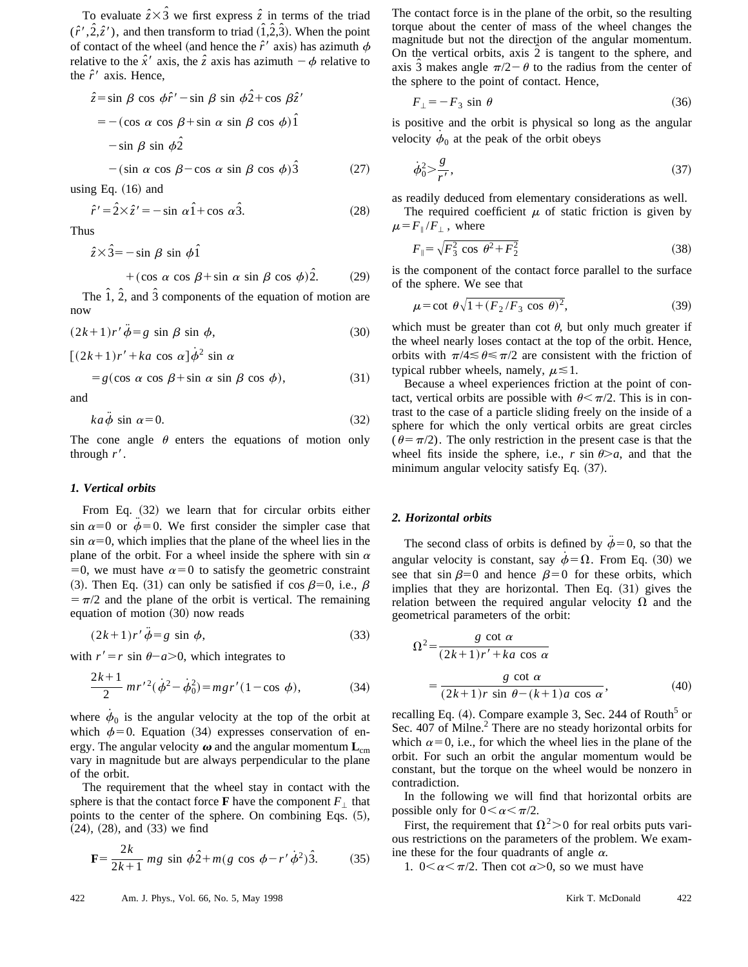To evaluate  $\hat{z} \times \hat{3}$  we first express  $\hat{z}$  in terms of the triad  $(\hat{r}', \hat{2}, \hat{z}')$ , and then transform to triad  $(\hat{1}, \hat{2}, \hat{3})$ . When the point of contact of the wheel (and hence the  $\hat{r}$ <sup>'</sup> axis) has azimuth  $\phi$ relative to the  $\hat{x}$ <sup>'</sup> axis, the  $\hat{z}$  axis has azimuth  $-\phi$  relative to the  $\hat{r}$ <sup>'</sup> axis. Hence,

$$
\hat{z} = \sin \beta \cos \phi \hat{r}' - \sin \beta \sin \phi \hat{2} + \cos \beta \hat{z}'
$$
  
= -(\cos \alpha \cos \beta + \sin \alpha \sin \beta \cos \phi)\hat{1}  
- \sin \beta \sin \phi \hat{2}

$$
-(\sin \alpha \cos \beta - \cos \alpha \sin \beta \cos \phi)\hat{3} \tag{27}
$$

using Eq.  $(16)$  and

$$
\hat{r}' = \hat{2} \times \hat{z}' = -\sin \alpha \hat{1} + \cos \alpha \hat{3}.
$$
 (28)

Thus

$$
\hat{z} \times \hat{3} = -\sin \beta \sin \phi \hat{1}
$$
  
+(cos  $\alpha$  cos  $\beta$ +sin  $\alpha$  sin  $\beta$  cos  $\phi$ ) $\hat{2}$ . (29)

$$
\frac{1}{2} \left( \cos \alpha \cos \beta + \sin \alpha \sin \beta \cos \psi \right) z, \qquad (2)
$$

The 1, 2, and 3 components of the equation of motion are now

$$
(2k+1)r'\ddot{\phi}=g\sin\beta\sin\phi,\tag{30}
$$

 $\int (2k+1)r' + ka \cos \alpha \vec{a} \cdot \vec{b}^2 \sin \alpha$ 

$$
= g(\cos \alpha \cos \beta + \sin \alpha \sin \beta \cos \phi), \tag{31}
$$

and

$$
ka\ddot{\phi}\sin\alpha=0.\tag{32}
$$

The cone angle  $\theta$  enters the equations of motion only through  $r'$ .

#### *1. Vertical orbits*

From Eq.  $(32)$  we learn that for circular orbits either  $\sin \alpha = 0$  or  $\dot{\phi} = 0$ . We first consider the simpler case that  $\sin \alpha = 0$ , which implies that the plane of the wheel lies in the plane of the orbit. For a wheel inside the sphere with sin  $\alpha$ =0, we must have  $\alpha$ =0 to satisfy the geometric constraint (3). Then Eq. (31) can only be satisfied if cos  $\beta=0$ , i.e.,  $\beta$  $=$   $\pi/2$  and the plane of the orbit is vertical. The remaining equation of motion (30) now reads

$$
(2k+1)r'\ddot{\phi} = g \sin \phi, \qquad (33)
$$

with  $r' = r \sin \theta - a > 0$ , which integrates to

$$
\frac{2k+1}{2} mr'^2 (\dot{\phi}^2 - \dot{\phi}_0^2) = mgr'(1 - \cos \phi), \tag{34}
$$

where  $\dot{\phi}_0$  is the angular velocity at the top of the orbit at which  $\phi=0$ . Equation (34) expresses conservation of energy. The angular velocity  $\boldsymbol{\omega}$  and the angular momentum  $\mathbf{L}_{cm}$ vary in magnitude but are always perpendicular to the plane of the orbit.

The requirement that the wheel stay in contact with the sphere is that the contact force **F** have the component  $F_{\perp}$  that points to the center of the sphere. On combining Eqs.  $(5)$ ,  $(24)$ ,  $(28)$ , and  $(33)$  we find

$$
\mathbf{F} = \frac{2k}{2k+1} mg \sin \phi \hat{2} + m(g \cos \phi - r' \dot{\phi}^2) \hat{3}.
$$
 (35)

422 Am. J. Phys., Vol. 66, No. 5, May 1998 Kirk T. McDonald 422

The contact force is in the plane of the orbit, so the resulting torque about the center of mass of the wheel changes the magnitude but not the direction of the angular momentum. On the vertical orbits, axis 2 is tangent to the sphere, and axis 3 makes angle  $\pi/2 - \theta$  to the radius from the center of the sphere to the point of contact. Hence,

$$
F_{\perp} = -F_3 \sin \theta \tag{36}
$$

is positive and the orbit is physical so long as the angular velocity  $\phi_0$  at the peak of the orbit obeys

$$
\dot{\phi}_0^2 > \frac{g}{r'},\tag{37}
$$

as readily deduced from elementary considerations as well.

The required coefficient  $\mu$  of static friction is given by  $\mu = F_{\parallel}/F_{\perp}$ , where

$$
F_{\parallel} = \sqrt{F_3^2 \cos \theta^2 + F_2^2}
$$
 (38)

is the component of the contact force parallel to the surface of the sphere. We see that

$$
\mu = \cot \theta \sqrt{1 + (F_2/F_3 \cos \theta)^2},\tag{39}
$$

which must be greater than cot  $\theta$ , but only much greater if the wheel nearly loses contact at the top of the orbit. Hence, orbits with  $\pi/4 \leq \theta \leq \pi/2$  are consistent with the friction of typical rubber wheels, namely,  $\mu \leq 1$ .

Because a wheel experiences friction at the point of contact, vertical orbits are possible with  $\theta \leq \pi/2$ . This is in contrast to the case of a particle sliding freely on the inside of a sphere for which the only vertical orbits are great circles  $(\theta = \pi/2)$ . The only restriction in the present case is that the wheel fits inside the sphere, i.e.,  $r \sin \theta > a$ , and that the minimum angular velocity satisfy Eq. (37).

#### *2. Horizontal orbits*

The second class of orbits is defined by  $\ddot{\phi} = 0$ , so that the angular velocity is constant, say  $\dot{\phi} = \Omega$ . From Eq. (30) we see that sin  $\beta=0$  and hence  $\beta=0$  for these orbits, which implies that they are horizontal. Then Eq.  $(31)$  gives the relation between the required angular velocity  $\Omega$  and the geometrical parameters of the orbit:

$$
\Omega^{2} = \frac{g \cot \alpha}{(2k+1)r' + ka \cos \alpha}
$$

$$
= \frac{g \cot \alpha}{(2k+1)r \sin \theta - (k+1)a \cos \alpha},
$$
(40)

recalling Eq.  $(4)$ . Compare example 3, Sec. 244 of Routh<sup>5</sup> or Sec. 407 of Milne.<sup>2</sup> There are no steady horizontal orbits for which  $\alpha=0$ , i.e., for which the wheel lies in the plane of the orbit. For such an orbit the angular momentum would be constant, but the torque on the wheel would be nonzero in contradiction.

In the following we will find that horizontal orbits are possible only for  $0<\alpha<\pi/2$ .

First, the requirement that  $\Omega^2 > 0$  for real orbits puts various restrictions on the parameters of the problem. We examine these for the four quadrants of angle  $\alpha$ .

1.  $0<\alpha<\pi/2$ . Then cot  $\alpha>0$ , so we must have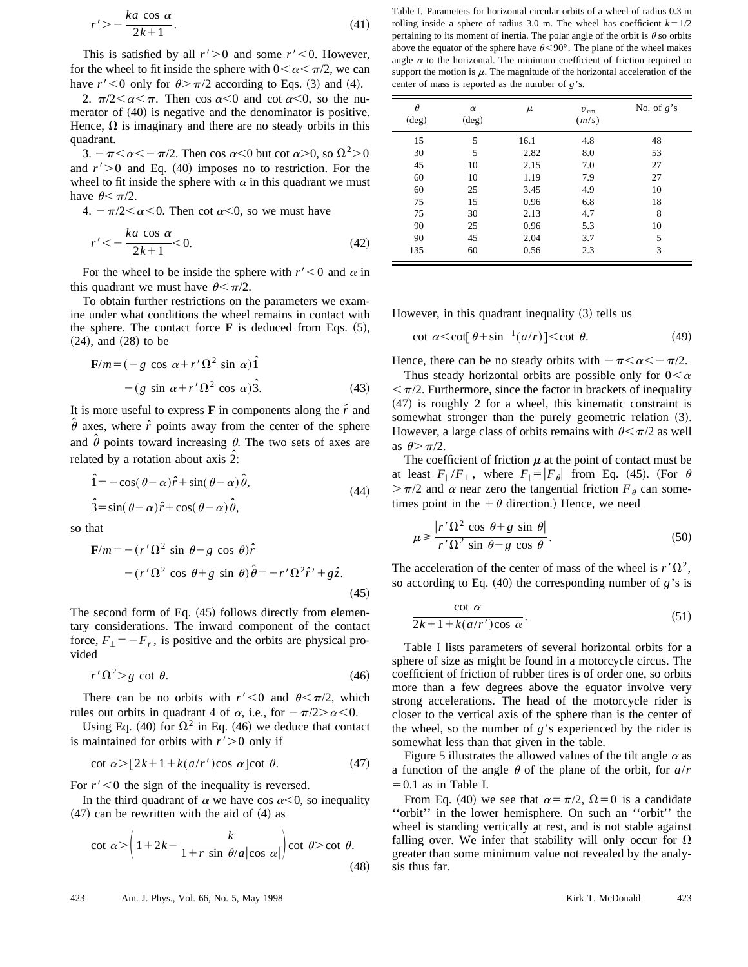$$
r' > -\frac{ka\cos\alpha}{2k+1}.\tag{41}
$$

This is satisfied by all  $r' > 0$  and some  $r' < 0$ . However, for the wheel to fit inside the sphere with  $0<\alpha<\pi/2$ , we can have  $r' < 0$  only for  $\theta > \pi/2$  according to Eqs. (3) and (4).

2.  $\pi/2 < \alpha < \pi$ . Then cos  $\alpha < 0$  and cot  $\alpha < 0$ , so the numerator of  $(40)$  is negative and the denominator is positive. Hence,  $\Omega$  is imaginary and there are no steady orbits in this quadrant.

3.  $-\pi < \alpha < -\pi/2$ . Then cos  $\alpha < 0$  but cot  $\alpha > 0$ , so  $\Omega^2 > 0$ . and  $r' > 0$  and Eq.  $(40)$  imposes no to restriction. For the wheel to fit inside the sphere with  $\alpha$  in this quadrant we must have  $\theta \leq \pi/2$ .

4.  $-\pi/2 < \alpha < 0$ . Then cot  $\alpha < 0$ , so we must have

$$
r' < -\frac{ka\cos\alpha}{2k+1} < 0.\tag{42}
$$

For the wheel to be inside the sphere with  $r' < 0$  and  $\alpha$  in this quadrant we must have  $\theta \leq \pi/2$ .

To obtain further restrictions on the parameters we examine under what conditions the wheel remains in contact with the sphere. The contact force  $\bf{F}$  is deduced from Eqs.  $(5)$ ,  $(24)$ , and  $(28)$  to be

$$
\mathbf{F}/m = (-g \cos \alpha + r'\Omega^2 \sin \alpha) \hat{1}
$$
  
-(g \sin \alpha + r'\Omega^2 \cos \alpha) \hat{3}. (43)

It is more useful to express  $\bf{F}$  in components along the  $\hat{r}$  and  $\hat{\theta}$  axes, where  $\hat{r}$  points away from the center of the sphere and  $\hat{\theta}$  points toward increasing  $\theta$ . The two sets of axes are related by a rotation about axis 2*ˆ*:

$$
\hat{1} = -\cos(\theta - \alpha)\hat{r} + \sin(\theta - \alpha)\hat{\theta},
$$
  
\n
$$
\hat{3} = \sin(\theta - \alpha)\hat{r} + \cos(\theta - \alpha)\hat{\theta},
$$
\n(44)

so that

$$
\mathbf{F}/m = -(r'\Omega^2 \sin \theta - g \cos \theta)\hat{r}
$$

$$
-(r'\Omega^2 \cos \theta + g \sin \theta)\hat{\theta} = -r'\Omega^2\hat{r}'+g\hat{z}.
$$
(45)

The second form of Eq.  $(45)$  follows directly from elementary considerations. The inward component of the contact force,  $F_{\perp} = -F_r$ , is positive and the orbits are physical provided

$$
r'\Omega^2 > g \cot \theta. \tag{46}
$$

There can be no orbits with  $r' < 0$  and  $\theta < \pi/2$ , which rules out orbits in quadrant 4 of  $\alpha$ , i.e., for  $-\pi/2 > \alpha < 0$ .

Using Eq. (40) for  $\Omega^2$  in Eq. (46) we deduce that contact is maintained for orbits with  $r' > 0$  only if

$$
\cot \alpha > [2k+1+k(a/r')\cos \alpha] \cot \theta. \tag{47}
$$

For  $r' < 0$  the sign of the inequality is reversed.

In the third quadrant of  $\alpha$  we have cos  $\alpha$ <0, so inequality  $(47)$  can be rewritten with the aid of  $(4)$  as

$$
\cot \alpha > \left(1 + 2k - \frac{k}{1 + r \sin \theta / a |\cos \alpha|}\right) \cot \theta > \cot \theta.
$$
\n(48)

Table I. Parameters for horizontal circular orbits of a wheel of radius 0.3 m rolling inside a sphere of radius 3.0 m. The wheel has coefficient  $k=1/2$ pertaining to its moment of inertia. The polar angle of the orbit is  $\theta$  so orbits above the equator of the sphere have  $\theta$ <90°. The plane of the wheel makes angle  $\alpha$  to the horizontal. The minimum coefficient of friction required to support the motion is  $\mu$ . The magnitude of the horizontal acceleration of the center of mass is reported as the number of *g*'s.

| $\theta$<br>$(\text{deg})$ | $\alpha$<br>$(\text{deg})$ | μ    | $v_{\rm cm}$<br>(m/s) | No. of $g$ 's |
|----------------------------|----------------------------|------|-----------------------|---------------|
| 15                         | 5                          | 16.1 | 4.8                   | 48            |
| 30                         | 5                          | 2.82 | 8.0                   | 53            |
| 45                         | 10                         | 2.15 | 7.0                   | 27            |
| 60                         | 10                         | 1.19 | 7.9                   | 27            |
| 60                         | 25                         | 3.45 | 4.9                   | 10            |
| 75                         | 15                         | 0.96 | 6.8                   | 18            |
| 75                         | 30                         | 2.13 | 4.7                   | 8             |
| 90                         | 25                         | 0.96 | 5.3                   | 10            |
| 90                         | 45                         | 2.04 | 3.7                   | 5             |
| 135                        | 60                         | 0.56 | 2.3                   | 3             |

However, in this quadrant inequality  $(3)$  tells us

$$
\cot \alpha \!<\!\cot[\theta + \sin^{-1}(a/r)] \!<\!\cot \theta. \tag{49}
$$

Hence, there can be no steady orbits with  $-\pi < \alpha < -\pi/2$ .

Thus steady horizontal orbits are possible only for  $0 < \alpha$  $\langle \pi/2$ . Furthermore, since the factor in brackets of inequality  $(47)$  is roughly 2 for a wheel, this kinematic constraint is somewhat stronger than the purely geometric relation (3). However, a large class of orbits remains with  $\theta \leq \pi/2$  as well as  $\theta > \pi/2$ .

The coefficient of friction  $\mu$  at the point of contact must be at least  $F_{\parallel}/F_{\perp}$ , where  $F_{\parallel} = |F_{\theta}|$  from Eq. (45). (For  $\theta$  $\frac{\partial \mathcal{L}}{\partial \mathcal{L}}$  and  $\alpha$  near zero the tangential friction  $F_{\theta}$  can sometimes point in the  $+\theta$  direction.) Hence, we need

$$
\mu \ge \frac{|r'\Omega^2 \cos\theta + g\sin\theta|}{r'\Omega^2 \sin\theta - g\cos\theta}.
$$
\n(50)

The acceleration of the center of mass of the wheel is  $r'\Omega^2$ , so according to Eq.  $(40)$  the corresponding number of *g*'s is

$$
\frac{\cot \alpha}{2k+1+k(a/r')\cos \alpha}.
$$
 (51)

Table I lists parameters of several horizontal orbits for a sphere of size as might be found in a motorcycle circus. The coefficient of friction of rubber tires is of order one, so orbits more than a few degrees above the equator involve very strong accelerations. The head of the motorcycle rider is closer to the vertical axis of the sphere than is the center of the wheel, so the number of *g*'s experienced by the rider is somewhat less than that given in the table.

Figure 5 illustrates the allowed values of the tilt angle  $\alpha$  as a function of the angle  $\theta$  of the plane of the orbit, for  $a/r$  $=0.1$  as in Table I.

From Eq. (40) we see that  $\alpha = \pi/2$ ,  $\Omega = 0$  is a candidate ''orbit'' in the lower hemisphere. On such an ''orbit'' the wheel is standing vertically at rest, and is not stable against falling over. We infer that stability will only occur for  $\Omega$ greater than some minimum value not revealed by the analysis thus far.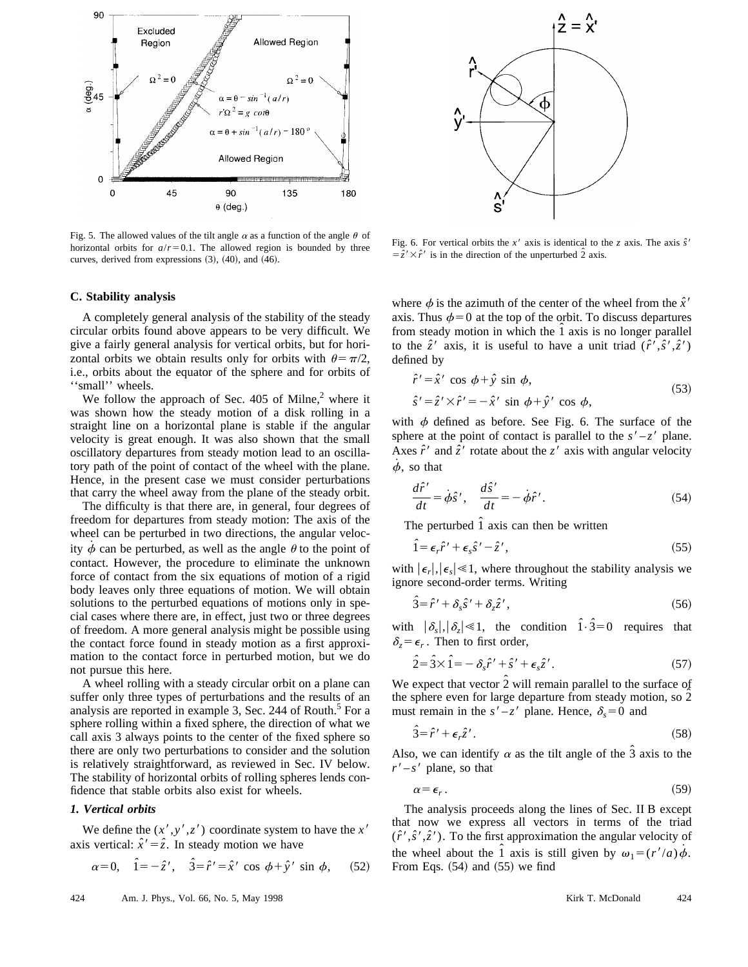

Fig. 5. The allowed values of the tilt angle  $\alpha$  as a function of the angle  $\theta$  of horizontal orbits for  $a/r=0.1$ . The allowed region is bounded by three curves, derived from expressions  $(3)$ ,  $(40)$ , and  $(46)$ .

#### **C. Stability analysis**

A completely general analysis of the stability of the steady circular orbits found above appears to be very difficult. We give a fairly general analysis for vertical orbits, but for horizontal orbits we obtain results only for orbits with  $\theta = \pi/2$ , i.e., orbits about the equator of the sphere and for orbits of "small" wheels.

We follow the approach of Sec.  $405$  of Milne,<sup>2</sup> where it was shown how the steady motion of a disk rolling in a straight line on a horizontal plane is stable if the angular velocity is great enough. It was also shown that the small oscillatory departures from steady motion lead to an oscillatory path of the point of contact of the wheel with the plane. Hence, in the present case we must consider perturbations that carry the wheel away from the plane of the steady orbit.

The difficulty is that there are, in general, four degrees of freedom for departures from steady motion: The axis of the wheel can be perturbed in two directions, the angular velocity  $\phi$  can be perturbed, as well as the angle  $\theta$  to the point of contact. However, the procedure to eliminate the unknown force of contact from the six equations of motion of a rigid body leaves only three equations of motion. We will obtain solutions to the perturbed equations of motions only in special cases where there are, in effect, just two or three degrees of freedom. A more general analysis might be possible using the contact force found in steady motion as a first approximation to the contact force in perturbed motion, but we do not pursue this here.

A wheel rolling with a steady circular orbit on a plane can suffer only three types of perturbations and the results of an analysis are reported in example 3, Sec. 244 of Routh.<sup>5</sup> For a sphere rolling within a fixed sphere, the direction of what we call axis 3 always points to the center of the fixed sphere so there are only two perturbations to consider and the solution is relatively straightforward, as reviewed in Sec. IV below. The stability of horizontal orbits of rolling spheres lends confidence that stable orbits also exist for wheels.

# *1. Vertical orbits*

We define the  $(x', y', z')$  coordinate system to have the  $x'$ axis vertical:  $\hat{x}' = \hat{z}$ . In steady motion we have

$$
\alpha = 0
$$
,  $\hat{1} = -\hat{z}'$ ,  $\hat{3} = \hat{r}' = \hat{x}' \cos \phi + \hat{y}' \sin \phi$ , (52)



Fig. 6. For vertical orbits the  $x<sup>7</sup>$  axis is identical to the *z* axis. The axis  $\hat{s}$ <sup> $'$ </sup>  $= \hat{z}' \times \hat{r}'$  is in the direction of the unperturbed  $\hat{2}$  axis.

where  $\phi$  is the azimuth of the center of the wheel from the  $\hat{x}$ <sup>'</sup> axis. Thus  $\phi=0$  at the top of the orbit. To discuss departures from steady motion in which the  $\overline{1}$  axis is no longer parallel to the  $\hat{z}$ <sup>*'*</sup> axis, it is useful to have a unit triad  $(\hat{r}', \hat{s}', \hat{z}')$ defined by

$$
\hat{r}' = \hat{x}' \cos \phi + \hat{y} \sin \phi,
$$
  
\n
$$
\hat{s}' = \hat{z}' \times \hat{r}' = -\hat{x}' \sin \phi + \hat{y}' \cos \phi,
$$
\n(53)

with  $\phi$  defined as before. See Fig. 6. The surface of the sphere at the point of contact is parallel to the  $s'-z'$  plane. Axes  $\hat{r}$ <sup>'</sup> and  $\hat{z}$ <sup>'</sup> rotate about the  $z$ <sup>'</sup> axis with angular velocity  $\phi$ , so that

$$
\frac{d\hat{r}'}{dt} = \dot{\phi}\hat{s}', \quad \frac{d\hat{s}'}{dt} = -\dot{\phi}\hat{r}'.\tag{54}
$$

The perturbed 1 axis can then be written

$$
\hat{1} = \epsilon_r \hat{r}' + \epsilon_s \hat{s}' - \hat{z}',\tag{55}
$$

with  $|\epsilon_r|, |\epsilon_s| \leq 1$ , where throughout the stability analysis we ignore second-order terms. Writing

$$
\hat{3} = \hat{r}' + \delta_s \hat{s}' + \delta_z \hat{z}',\tag{56}
$$

with  $|\delta_s|, |\delta_z| \le 1$ , the condition  $\hat{1} \cdot \hat{3} = 0$  requires that  $\delta_z = \epsilon_r$ . Then to first order,

$$
\hat{2} = \hat{3} \times \hat{1} = -\delta_s \hat{r}' + \hat{s}' + \epsilon_s \hat{z}'. \tag{57}
$$

We expect that vector  $\hat{2}$  will remain parallel to the surface of the sphere even for large departure from steady motion, so  $\hat{2}$ must remain in the  $s'-z'$  plane. Hence,  $\delta_s = 0$  and

$$
\hat{3} = \hat{r}' + \epsilon_r \hat{z}'.\tag{58}
$$

Also, we can identify  $\alpha$  as the tilt angle of the  $\hat{3}$  axis to the  $r' - s'$  plane, so that

$$
\alpha = \epsilon_r. \tag{59}
$$

The analysis proceeds along the lines of Sec. II B except that now we express all vectors in terms of the triad  $(\hat{r}', \hat{s}', \hat{z}')$ . To the first approximation the angular velocity of the wheel about the 1<sup> $\hat{i}$ </sup> axis is still given by  $\omega_1 = (r'/a)\dot{\phi}$ . From Eqs.  $(54)$  and  $(55)$  we find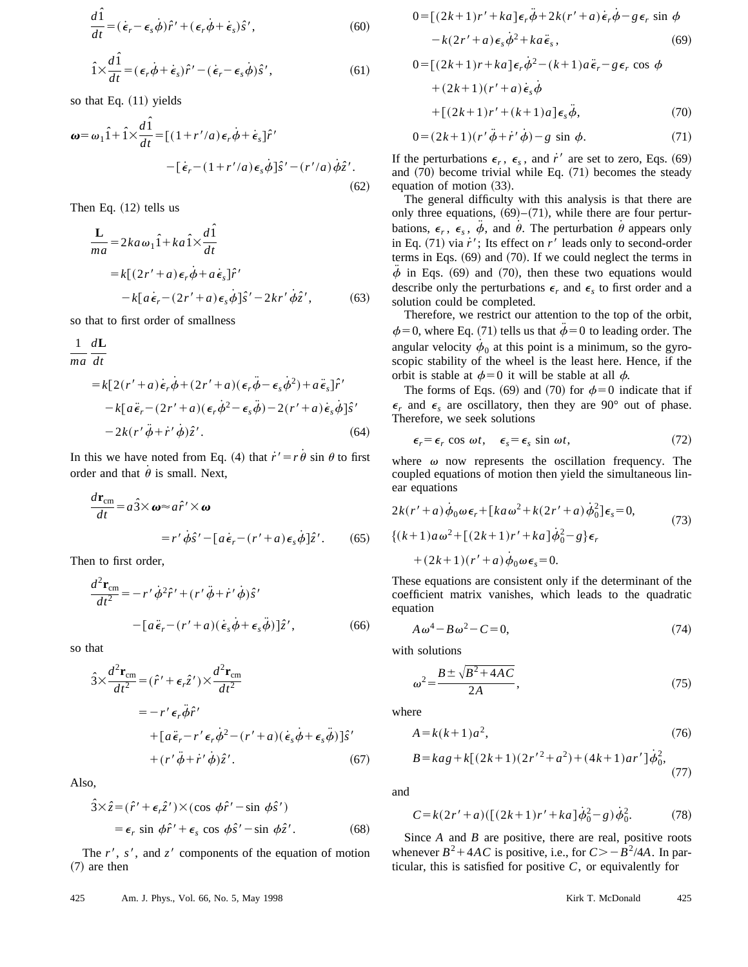$$
\frac{d\hat{1}}{dt} = (\dot{\epsilon}_r - \epsilon_s \dot{\phi})\hat{r}' + (\epsilon_r \dot{\phi} + \dot{\epsilon}_s)\hat{s}',\tag{60}
$$

$$
\hat{1} \times \frac{d\hat{1}}{dt} = (\epsilon_r \dot{\phi} + \dot{\epsilon}_s) \hat{r}' - (\dot{\epsilon}_r - \epsilon_s \dot{\phi}) \hat{s}',\tag{61}
$$

so that Eq.  $(11)$  yields

$$
\omega = \omega_1 \hat{1} + \hat{1} \times \frac{d\hat{1}}{dt} = [(1 + r'/a)\epsilon_r \dot{\phi} + \dot{\epsilon}_s] \hat{r}'
$$

$$
- [\dot{\epsilon}_r - (1 + r'/a)\epsilon_s \dot{\phi}] \hat{s}' - (r'/a)\dot{\phi}\hat{z}'.
$$
(62)

Then Eq.  $(12)$  tells us

 $\mathbf{r}$ 

$$
\mathbf{L}_{ma} = 2ka\omega_1 \hat{\mathbf{i}} + ka\hat{\mathbf{i}} \times \frac{d\hat{\mathbf{i}}}{dt}
$$
  
= k[(2r' + a)\epsilon\_r \dot{\phi} + a\dot{\epsilon}\_s]\hat{r}'  
- k[a\dot{\epsilon}\_r - (2r' + a)\epsilon\_s \dot{\phi}]\hat{s}' - 2kr'\dot{\phi}\hat{z}', (63)

so that to first order of smallness

$$
\frac{1}{ma} \frac{d\mathbf{L}}{dt}
$$
\n
$$
= k[2(r'+a)\dot{\epsilon}_r \dot{\phi} + (2r'+a)(\epsilon_r \ddot{\phi} - \epsilon_s \dot{\phi}^2) + a\ddot{\epsilon}_s]\hat{r}'
$$
\n
$$
-k[a\ddot{\epsilon}_r - (2r'+a)(\epsilon_r \dot{\phi}^2 - \epsilon_s \ddot{\phi}) - 2(r'+a)\dot{\epsilon}_s \dot{\phi}]\hat{s}'
$$
\n
$$
-2k(r'\ddot{\phi} + \dot{r}'\dot{\phi})\hat{z}'. \tag{64}
$$

In this we have noted from Eq. (4) that  $\dot{r}' = r \dot{\theta} \sin \theta$  to first order and that  $\dot{\theta}$  is small. Next,

$$
\frac{d\mathbf{r}_{cm}}{dt} = a\hat{3} \times \boldsymbol{\omega} \approx a\hat{r}' \times \boldsymbol{\omega}
$$

$$
= r'\dot{\phi}\hat{s}' - [a\dot{\epsilon}_r - (r' + a)\epsilon_s\dot{\phi}]\hat{z}'. \qquad (65)
$$

Then to first order,

$$
\frac{d^2 \mathbf{r}_{cm}}{dt^2} = -r' \dot{\phi}^2 \hat{r}' + (r' \ddot{\phi} + \dot{r}' \dot{\phi}) \hat{s}'
$$

$$
- [a \ddot{\boldsymbol{\epsilon}}_r - (r' + a)(\dot{\boldsymbol{\epsilon}}_s \dot{\phi} + \boldsymbol{\epsilon}_s \ddot{\phi})] \hat{z}', \qquad (66)
$$

so that

$$
\hat{3} \times \frac{d^2 \mathbf{r}_{cm}}{dt^2} = (\hat{r}' + \epsilon_r \hat{z}') \times \frac{d^2 \mathbf{r}_{cm}}{dt^2}
$$
  
=  $-r' \epsilon_r \ddot{\phi} \hat{r}'$   
+  $[a\ddot{\epsilon}_r - r' \epsilon_r \dot{\phi}^2 - (r' + a)(\dot{\epsilon}_s \dot{\phi} + \epsilon_s \ddot{\phi})]\hat{s}'$   
+  $(r' \ddot{\phi} + \dot{r}' \dot{\phi})\hat{z}'$ . (67)

Also,

$$
\hat{3} \times \hat{z} = (\hat{r}' + \epsilon_r \hat{z}') \times (\cos \phi \hat{r}' - \sin \phi \hat{s}')
$$
  
=  $\epsilon_r \sin \phi \hat{r}' + \epsilon_s \cos \phi \hat{s}' - \sin \phi \hat{z}'.$  (68)

The  $r'$ ,  $s'$ , and  $z'$  components of the equation of motion  $(7)$  are then

$$
0 = [(2k+1)r' + ka] \epsilon_r \ddot{\phi} + 2k(r' + a) \dot{\epsilon}_r \dot{\phi} - g \epsilon_r \sin \phi -k(2r' + a) \epsilon_s \dot{\phi}^2 + ka \ddot{\epsilon}_s,
$$
(69)

$$
0 = [(2k+1)r + ka] \epsilon_r \dot{\phi}^2 - (k+1)a \ddot{\epsilon}_r - g \epsilon_r \cos \phi
$$
  
+ (2k+1)(r'+a) \dot{\epsilon}\_s \dot{\phi}  
+ [(2k+1)r' + (k+1)a] \epsilon\_s \ddot{\phi}, (70)

$$
0 = (2k+1)(r'\ddot{\phi} + \dot{r}'\dot{\phi}) - g \sin \phi.
$$
 (71)

If the perturbations  $\epsilon_r$ ,  $\epsilon_s$ , and  $\dot{r}$ <sup>'</sup> are set to zero, Eqs. (69) and  $(70)$  become trivial while Eq.  $(71)$  becomes the steady equation of motion (33).

The general difficulty with this analysis is that there are only three equations,  $(69)–(71)$ , while there are four perturbations,  $\epsilon_r$ ,  $\epsilon_s$ ,  $\ddot{\phi}$ , and  $\dot{\theta}$ . The perturbation  $\dot{\theta}$  appears only in Eq.  $(71)$  via  $\dot{r}$ <sup>'</sup>; Its effect on  $r'$  leads only to second-order terms in Eqs.  $(69)$  and  $(70)$ . If we could neglect the terms in  $\phi$  in Eqs.  $(69)$  and  $(70)$ , then these two equations would describe only the perturbations  $\epsilon_r$  and  $\epsilon_s$  to first order and a solution could be completed.

Therefore, we restrict our attention to the top of the orbit,  $\phi$ =0, where Eq. (71) tells us that  $\ddot{\phi}$ =0 to leading order. The angular velocity  $\dot{\phi}_0$  at this point is a minimum, so the gyroscopic stability of the wheel is the least here. Hence, if the orbit is stable at  $\phi=0$  it will be stable at all  $\phi$ .

The forms of Eqs. (69) and (70) for  $\phi=0$  indicate that if  $\epsilon_r$  and  $\epsilon_s$  are oscillatory, then they are 90° out of phase. Therefore, we seek solutions

$$
\epsilon_r = \epsilon_r \cos \omega t, \quad \epsilon_s = \epsilon_s \sin \omega t, \tag{72}
$$

where  $\omega$  now represents the oscillation frequency. The coupled equations of motion then yield the simultaneous linear equations

$$
2k(r'+a)\dot{\phi}_0\omega\epsilon_r + [ka\omega^2 + k(2r'+a)\dot{\phi}_0^2]\epsilon_s = 0,
$$
  

$$
\{(k+1)a\omega^2 + [(2k+1)r'+ka]\dot{\phi}_0^2 - g\}\epsilon_r
$$
  

$$
+ (2k+1)(r'+a)\dot{\phi}_0\omega\epsilon_s = 0.
$$
 (73)

These equations are consistent only if the determinant of the coefficient matrix vanishes, which leads to the quadratic equation

$$
A\omega^4 - B\omega^2 - C = 0,\tag{74}
$$

with solutions

$$
\omega^2 = \frac{B \pm \sqrt{B^2 + 4AC}}{2A},\tag{75}
$$

where

$$
A = k(k+1)a^2,\tag{76}
$$

$$
B = kag + k[(2k+1)(2r'^2 + a^2) + (4k+1)ar']\dot{\phi}_0^2,
$$
\n(77)

and

$$
C = k(2r' + a) \left( \left[ (2k+1)r' + ka \right] \dot{\phi}_0^2 - g \right) \dot{\phi}_0^2. \tag{78}
$$

Since *A* and *B* are positive, there are real, positive roots whenever  $B^2 + 4AC$  is positive, i.e., for  $C > -B^2/4A$ . In particular, this is satisfied for positive *C*, or equivalently for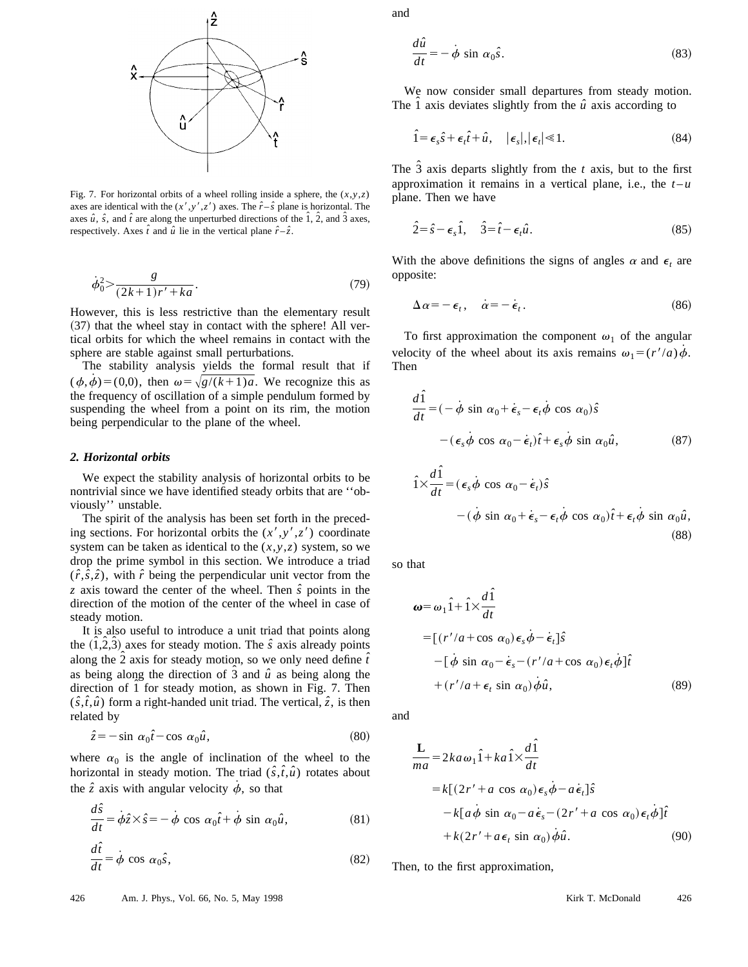

Fig. 7. For horizontal orbits of a wheel rolling inside a sphere, the  $(x, y, z)$ axes are identical with the  $(x', y', z')$  axes. The  $\hat{r} - \hat{s}$  plane is horizontal. The axes  $\hat{u}$ ,  $\hat{s}$ , and  $\hat{t}$  are along the unperturbed directions of the 1, 2, and 3 axes, respectively. Axes  $\hat{t}$  and  $\hat{u}$  lie in the vertical plane  $\hat{r} - \hat{z}$ .

$$
\dot{\phi}_0^2 > \frac{g}{(2k+1)r' + ka}.\tag{79}
$$

However, this is less restrictive than the elementary result (37) that the wheel stay in contact with the sphere! All vertical orbits for which the wheel remains in contact with the sphere are stable against small perturbations.

The stability analysis yields the formal result that if  $(\phi, \dot{\phi}) = (0,0)$ , then  $\omega = \sqrt{g/(k+1)a}$ . We recognize this as the frequency of oscillation of a simple pendulum formed by suspending the wheel from a point on its rim, the motion being perpendicular to the plane of the wheel.

#### *2. Horizontal orbits*

We expect the stability analysis of horizontal orbits to be nontrivial since we have identified steady orbits that are ''obviously'' unstable.

The spirit of the analysis has been set forth in the preceding sections. For horizontal orbits the  $(x', y', z')$  coordinate system can be taken as identical to the  $(x, y, z)$  system, so we drop the prime symbol in this section. We introduce a triad  $(\hat{r}, \hat{s}, \hat{z})$ , with  $\hat{r}$  being the perpendicular unit vector from the *z* axis toward the center of the wheel. Then *sˆ* points in the direction of the motion of the center of the wheel in case of steady motion.

It is also useful to introduce a unit triad that points along the  $(\hat{1}, \hat{2}, \hat{3})$  axes for steady motion. The  $\hat{s}$  axis already points along the  $\hat{2}$  axis for steady motion, so we only need define  $\hat{t}$ as being along the direction of  $\hat{3}$  and  $\hat{u}$  as being along the direction of 1 for steady motion, as shown in Fig. 7. Then  $(\hat{s}, \hat{t}, \hat{u})$  form a right-handed unit triad. The vertical,  $\hat{z}$ , is then related by

$$
\hat{z} = -\sin \alpha_0 \hat{t} - \cos \alpha_0 \hat{u},\tag{80}
$$

where  $\alpha_0$  is the angle of inclination of the wheel to the horizontal in steady motion. The triad  $(\hat{s}, \hat{t}, \hat{u})$  rotates about the  $\hat{z}$  axis with angular velocity  $\phi$ , so that

$$
\frac{d\hat{s}}{dt} = \dot{\phi}\hat{z} \times \hat{s} = -\dot{\phi} \cos \alpha_0 \hat{t} + \dot{\phi} \sin \alpha_0 \hat{u},
$$
 (81)

$$
\frac{d\hat{t}}{dt} = \dot{\phi} \cos \alpha_0 \hat{s},\tag{82}
$$

and

$$
\frac{d\hat{u}}{dt} = -\dot{\phi} \sin \alpha_0 \hat{s}.
$$
 (83)

We now consider small departures from steady motion. The 1 axis deviates slightly from the  $\hat{u}$  axis according to

$$
\hat{1} = \epsilon_s \hat{s} + \epsilon_t \hat{t} + \hat{u}, \quad |\epsilon_s|, |\epsilon_t| \le 1.
$$
\n(84)

The  $\hat{3}$  axis departs slightly from the  $t$  axis, but to the first approximation it remains in a vertical plane, i.e., the  $t-u$ plane. Then we have

$$
\hat{2} = \hat{s} - \epsilon_s \hat{1}, \quad \hat{3} = \hat{t} - \epsilon_t \hat{u}.
$$
\n(85)

With the above definitions the signs of angles  $\alpha$  and  $\epsilon$  are opposite:

$$
\Delta \alpha = -\epsilon_t, \quad \dot{\alpha} = -\dot{\epsilon}_t. \tag{86}
$$

To first approximation the component  $\omega_1$  of the angular velocity of the wheel about its axis remains  $\omega_1 = (r'/a)\phi$ . Then

$$
\frac{d\hat{1}}{dt} = (-\dot{\phi}\sin\alpha_0 + \dot{\epsilon}_s - \epsilon_t\dot{\phi}\cos\alpha_0)\hat{s}
$$

$$
-(\epsilon_s\dot{\phi}\cos\alpha_0 - \dot{\epsilon}_t)\hat{t} + \epsilon_s\dot{\phi}\sin\alpha_0\hat{u}, \qquad (87)
$$

$$
\hat{1} \times \frac{d\hat{1}}{dt} = (\epsilon_s \dot{\phi} \cos \alpha_0 - \dot{\epsilon}_t) \hat{s}
$$

$$
-(\dot{\phi} \sin \alpha_0 + \dot{\epsilon}_s - \epsilon_t \dot{\phi} \cos \alpha_0) \hat{t} + \epsilon_t \dot{\phi} \sin \alpha_0 \hat{u},
$$
(88)

so that

$$
\omega = \omega_1 \hat{1} + \hat{1} \times \frac{d\hat{1}}{dt}
$$
  
=  $[(r'/a + \cos \alpha_0) \epsilon_s \dot{\phi} - \dot{\epsilon}_t] \hat{s}$   
-  $[\dot{\phi} \sin \alpha_0 - \dot{\epsilon}_s - (r'/a + \cos \alpha_0) \epsilon_t \dot{\phi}] \hat{t}$   
+  $(r'/a + \epsilon_t \sin \alpha_0) \dot{\phi} \hat{u},$  (89)

and

$$
\mathbf{L}_{ma} = 2ka\omega_1 \hat{1} + ka\hat{1} \times \frac{d\hat{1}}{dt}
$$
  
= k[(2r' + a cos \alpha\_0)\epsilon\_s \dot{\phi} - a\dot{\epsilon}\_t]\hat{s}  
- k[a\dot{\phi} sin \alpha\_0 - a\dot{\epsilon}\_s - (2r' + a cos \alpha\_0)\epsilon\_t \dot{\phi}] \hat{t}  
+ k(2r' + a\epsilon\_t sin \alpha\_0) \dot{\phi}\hat{u}. (90)

Then, to the first approximation,

426 Am. J. Phys., Vol. 66, No. 5, May 1998 Kirk T. McDonald 426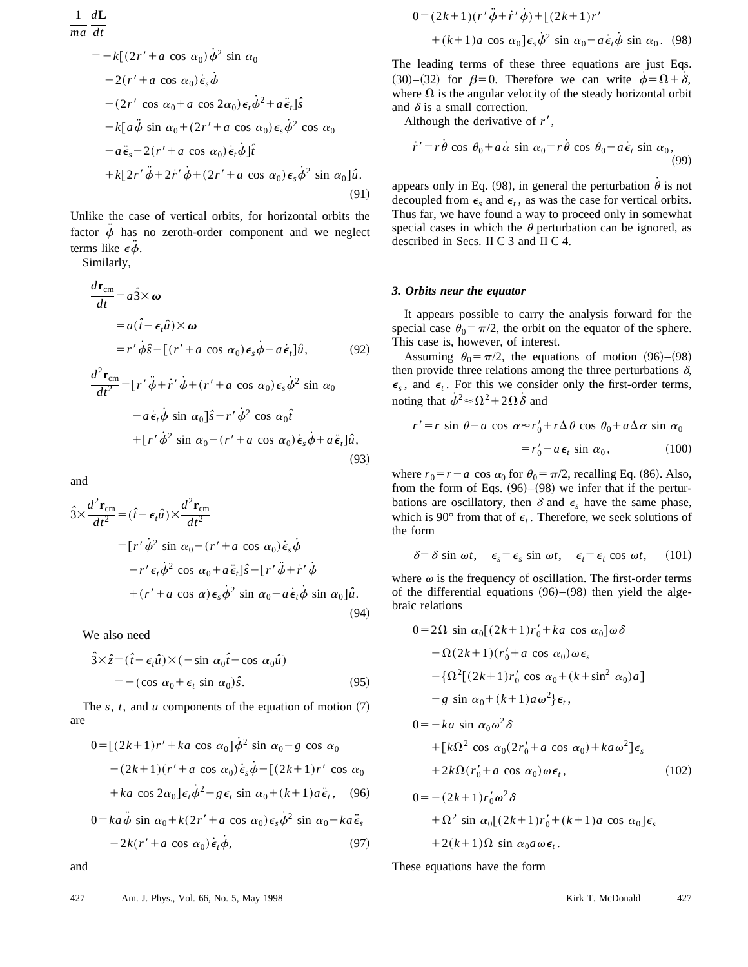$$
\frac{1}{ma} \frac{d\mathbf{L}}{dt}
$$
\n
$$
= -k[(2r' + a \cos \alpha_0)\dot{\phi}^2 \sin \alpha_0
$$
\n
$$
-2(r' + a \cos \alpha_0)\dot{\epsilon}_s\dot{\phi}
$$
\n
$$
-(2r' \cos \alpha_0 + a \cos 2\alpha_0)\epsilon_t\dot{\phi}^2 + a\ddot{\epsilon}_t]\hat{s}
$$
\n
$$
-k[a\ddot{\phi} \sin \alpha_0 + (2r' + a \cos \alpha_0)\epsilon_s\dot{\phi}^2 \cos \alpha_0
$$
\n
$$
-a\ddot{\epsilon}_s - 2(r' + a \cos \alpha_0)\dot{\epsilon}_t\dot{\phi}]\hat{t}
$$
\n
$$
+k[2r'\ddot{\phi} + 2\dot{r}'\dot{\phi} + (2r' + a \cos \alpha_0)\epsilon_s\dot{\phi}^2 \sin \alpha_0]\hat{u}.
$$
\n(91)

Unlike the case of vertical orbits, for horizontal orbits the factor  $\phi$  has no zeroth-order component and we neglect terms like  $\epsilon \ddot{\phi}$ .

Similarly,

1

$$
\frac{d\mathbf{r}_{cm}}{dt} = a\hat{3} \times \boldsymbol{\omega}
$$
  
\n
$$
= a(\hat{t} - \boldsymbol{\epsilon}_{t}\hat{u}) \times \boldsymbol{\omega}
$$
  
\n
$$
= r'\dot{\phi}\hat{s} - [(r' + a\cos\alpha_{0})\boldsymbol{\epsilon}_{s}\dot{\phi} - a\dot{\boldsymbol{\epsilon}}_{t}]\hat{u}, \qquad (92)
$$
  
\n
$$
\frac{d^{2}\mathbf{r}_{cm}}{dt^{2}} = [r'\ddot{\phi} + \dot{r}'\dot{\phi} + (r' + a\cos\alpha_{0})\boldsymbol{\epsilon}_{s}\dot{\phi}^{2}\sin\alpha_{0}
$$

$$
-a\,\dot{\epsilon}_t\dot{\phi}\,\sin\,\alpha_0\,\hat{s}-r'\,\dot{\phi}^2\,\cos\,\alpha_0\hat{t}
$$
  
+ 
$$
[r'\,\dot{\phi}^2\,\sin\,\alpha_0-(r'+a\,\cos\,\alpha_0)\,\dot{\epsilon}_s\,\dot{\phi}+a\,\ddot{\epsilon}_t\,\hat{d}, \qquad (93)
$$

and

$$
\hat{3} \times \frac{d^2 \mathbf{r}_{cm}}{dt^2} = (\hat{t} - \epsilon_t \hat{u}) \times \frac{d^2 \mathbf{r}_{cm}}{dt^2}
$$
  
\n
$$
= [r' \phi^2 \sin \alpha_0 - (r' + a \cos \alpha_0) \dot{\epsilon}_s \dot{\phi}
$$
  
\n
$$
-r' \epsilon_t \dot{\phi}^2 \cos \alpha_0 + a \ddot{\epsilon}_t] \hat{s} - [r' \ddot{\phi} + \dot{r}' \dot{\phi}
$$
  
\n
$$
+ (r' + a \cos \alpha) \epsilon_s \dot{\phi}^2 \sin \alpha_0 - a \dot{\epsilon}_t \dot{\phi} \sin \alpha_0] \hat{u}.
$$
  
\n(94)

We also need

$$
\hat{3} \times \hat{z} = (\hat{t} - \epsilon_t \hat{u}) \times (-\sin \alpha_0 \hat{t} - \cos \alpha_0 \hat{u})
$$
  
= -(\cos \alpha\_0 + \epsilon\_t \sin \alpha\_0) \hat{s}. (95)

The  $s$ ,  $t$ , and  $u$  components of the equation of motion  $(7)$ are

$$
0 = [(2k+1)r' + ka \cos \alpha_0] \dot{\phi}^2 \sin \alpha_0 - g \cos \alpha_0
$$
  
-(2k+1)(r' + a \cos \alpha\_0) \dot{\epsilon}\_s \dot{\phi} - [(2k+1)r' \cos \alpha\_0  
+ka \cos 2\alpha\_0] \epsilon\_t \dot{\phi}^2 - g \epsilon\_t \sin \alpha\_0 + (k+1)a \ddot{\epsilon}\_t, (96)

$$
0 = ka\ddot{\phi}\sin\alpha_0 + k(2r' + a\cos\alpha_0)\epsilon_s\dot{\phi}^2\sin\alpha_0 - ka\ddot{\epsilon}_s
$$

$$
-2k(r' + a\cos\alpha_0)\dot{\epsilon}_t\dot{\phi}, \qquad (97)
$$

and

427 Am. J. Phys., Vol. 66, No. 5, May 1998 **Kirk T. McDonald** 427

$$
0 = (2k+1)(r'\ddot{\phi} + \dot{r}'\dot{\phi}) + [(2k+1)r' + (k+1)a \cos \alpha_0] \epsilon_s \dot{\phi}^2 \sin \alpha_0 - a \dot{\epsilon}_t \dot{\phi} \sin \alpha_0. \quad (98)
$$

The leading terms of these three equations are just Eqs.  $(30)$ – $(32)$  for  $\beta=0$ . Therefore we can write  $\dot{\phi} = \Omega + \dot{\delta}$ , where  $\Omega$  is the angular velocity of the steady horizontal orbit and  $\delta$  is a small correction.

Although the derivative of  $r'$ ,

$$
\dot{r}' = r\dot{\theta} \cos \theta_0 + a\dot{\alpha} \sin \alpha_0 = r\dot{\theta} \cos \theta_0 - a\dot{\epsilon}_t \sin \alpha_0,
$$
\n(99)

appears only in Eq. (98), in general the perturbation  $\dot{\theta}$  is not decoupled from  $\epsilon_s$  and  $\epsilon_t$ , as was the case for vertical orbits. Thus far, we have found a way to proceed only in somewhat special cases in which the  $\theta$  perturbation can be ignored, as described in Secs. II C 3 and II C 4.

#### *3. Orbits near the equator*

It appears possible to carry the analysis forward for the special case  $\theta_0 = \pi/2$ , the orbit on the equator of the sphere. This case is, however, of interest.

Assuming  $\theta_0 = \pi/2$ , the equations of motion (96)–(98) then provide three relations among the three perturbations  $\delta$ ,  $\epsilon_s$ , and  $\epsilon_t$ . For this we consider only the first-order terms, noting that  $\dot{\phi}^2 \approx \Omega^2 + 2\Omega \dot{\delta}$  and

$$
r' = r \sin \theta - a \cos \alpha \approx r'_0 + r \Delta \theta \cos \theta_0 + a \Delta \alpha \sin \alpha_0
$$

$$
= r'_0 - a \epsilon_t \sin \alpha_0, \qquad (100)
$$

where  $r_0 = r - a \cos \alpha_0$  for  $\theta_0 = \pi/2$ , recalling Eq. (86). Also, from the form of Eqs.  $(96)–(98)$  we infer that if the perturbations are oscillatory, then  $\delta$  and  $\epsilon_s$  have the same phase, which is 90 $^{\circ}$  from that of  $\epsilon$ <sub>t</sub>. Therefore, we seek solutions of the form

$$
\delta = \delta \sin \omega t, \quad \epsilon_s = \epsilon_s \sin \omega t, \quad \epsilon_t = \epsilon_t \cos \omega t, \quad (101)
$$

where  $\omega$  is the frequency of oscillation. The first-order terms of the differential equations  $(96)–(98)$  then yield the algebraic relations

$$
0=2\Omega \sin \alpha_0[(2k+1)r'_0+ka \cos \alpha_0]\omega \delta
$$
  
\n
$$
-\Omega(2k+1)(r'_0+a \cos \alpha_0)\omega \epsilon_s
$$
  
\n
$$
-\{\Omega^2[(2k+1)r'_0 \cos \alpha_0+(k+\sin^2 \alpha_0)a]
$$
  
\n
$$
-g \sin \alpha_0+(k+1)a\omega^2\}\epsilon_t,
$$
  
\n
$$
0=-ka \sin \alpha_0\omega^2 \delta
$$
  
\n
$$
+[k\Omega^2 \cos \alpha_0(2r'_0+a \cos \alpha_0)+ka\omega^2]\epsilon_s
$$
  
\n
$$
+2k\Omega(r'_0+a \cos \alpha_0)\omega \epsilon_t,
$$
 (102)

$$
0 = -(2k+1)r'_0\omega^2 \delta
$$
  
+  $\Omega^2 \sin \alpha_0[(2k+1)r'_0 + (k+1)a \cos \alpha_0]\epsilon_s$   
+  $2(k+1)\Omega \sin \alpha_0 a \omega \epsilon_t$ .

These equations have the form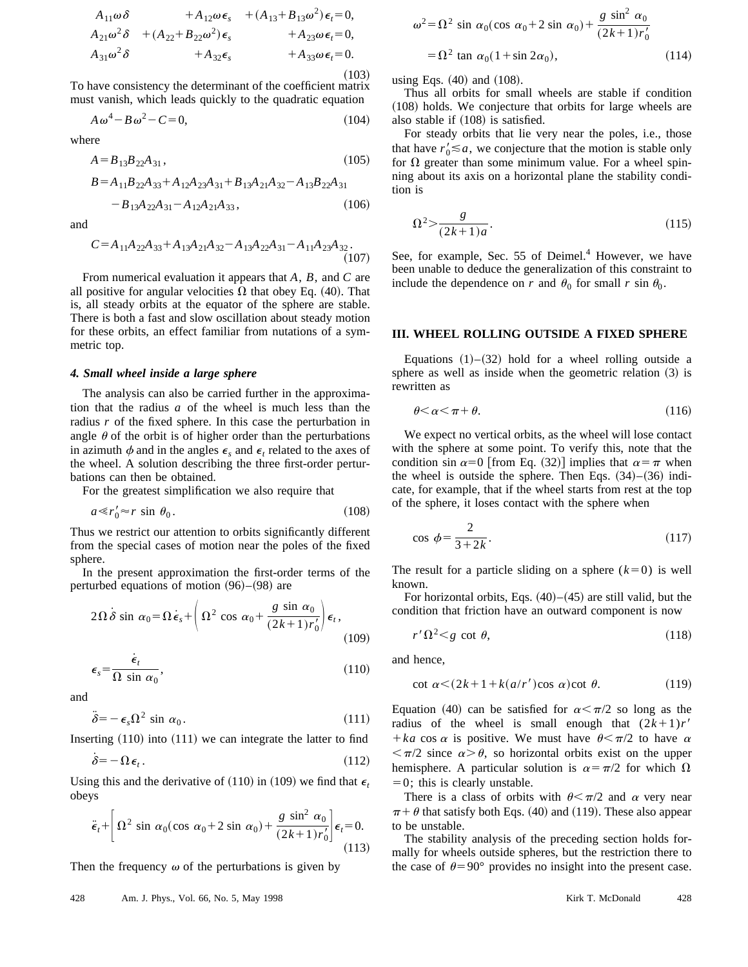$$
A_{11}\omega\delta + A_{12}\omega\epsilon_s + (A_{13} + B_{13}\omega^2)\epsilon_t = 0,
$$
  
\n
$$
A_{21}\omega^2\delta + (A_{22} + B_{22}\omega^2)\epsilon_s + A_{23}\omega\epsilon_t = 0,
$$
  
\n
$$
A_{31}\omega^2\delta + A_{32}\epsilon_s + A_{33}\omega\epsilon_t = 0.
$$

To have consistency the determinant of the coefficient matrix must vanish, which leads quickly to the quadratic equation

$$
A\omega^4 - B\omega^2 - C = 0,\tag{104}
$$

where

$$
A = B_{13}B_{22}A_{31},
$$
\n
$$
B = A_{11}B_{22}A_{33} + A_{12}A_{23}A_{31} + B_{13}A_{21}A_{32} - A_{13}B_{22}A_{31}
$$
\n
$$
-B_{13}A_{22}A_{31} - A_{12}A_{21}A_{33},
$$
\n(106)

and

$$
C = A_{11}A_{22}A_{33} + A_{13}A_{21}A_{32} - A_{13}A_{22}A_{31} - A_{11}A_{23}A_{32}.
$$
\n(107)

From numerical evaluation it appears that *A*, *B*, and *C* are all positive for angular velocities  $\Omega$  that obey Eq. (40). That is, all steady orbits at the equator of the sphere are stable. There is both a fast and slow oscillation about steady motion for these orbits, an effect familiar from nutations of a symmetric top.

#### *4. Small wheel inside a large sphere*

The analysis can also be carried further in the approximation that the radius *a* of the wheel is much less than the radius *r* of the fixed sphere. In this case the perturbation in angle  $\theta$  of the orbit is of higher order than the perturbations in azimuth  $\phi$  and in the angles  $\epsilon_s$  and  $\epsilon_t$  related to the axes of the wheel. A solution describing the three first-order perturbations can then be obtained.

For the greatest simplification we also require that

$$
a \ll r'_0 \approx r \sin \theta_0. \tag{108}
$$

Thus we restrict our attention to orbits significantly different from the special cases of motion near the poles of the fixed sphere.

In the present approximation the first-order terms of the perturbed equations of motion  $(96)$ – $(98)$  are

$$
2\Omega\dot{\delta}\sin\alpha_0 = \Omega\dot{\epsilon}_s + \left(\Omega^2\cos\alpha_0 + \frac{g\sin\alpha_0}{(2k+1)r'_0}\right)\epsilon_t,
$$
\n(109)

$$
\epsilon_s = \frac{\dot{\epsilon}_t}{\Omega \sin \alpha_0},\tag{110}
$$

and

$$
\ddot{\delta} = -\epsilon_s \Omega^2 \sin \alpha_0. \tag{111}
$$

Inserting  $(110)$  into  $(111)$  we can integrate the latter to find

$$
\dot{\delta} = -\Omega \,\epsilon_t. \tag{112}
$$

Using this and the derivative of  $(110)$  in  $(109)$  we find that  $\epsilon_t$ obeys

$$
\ddot{\epsilon}_t + \left[ \Omega^2 \sin \alpha_0 (\cos \alpha_0 + 2 \sin \alpha_0) + \frac{g \sin^2 \alpha_0}{(2k+1)r'_0} \right] \epsilon_t = 0.
$$
\n(113)

Then the frequency  $\omega$  of the perturbations is given by

$$
\omega^2 = \Omega^2 \sin \alpha_0 (\cos \alpha_0 + 2 \sin \alpha_0) + \frac{g \sin^2 \alpha_0}{(2k+1)r'_0}
$$
  
=  $\Omega^2 \tan \alpha_0 (1 + \sin 2\alpha_0),$  (114)

using Eqs.  $(40)$  and  $(108)$ .

 $(103)$ 

Thus all orbits for small wheels are stable if condition  $(108)$  holds. We conjecture that orbits for large wheels are also stable if  $(108)$  is satisfied.

For steady orbits that lie very near the poles, i.e., those that have  $r'_0 \le a$ , we conjecture that the motion is stable only for  $\Omega$  greater than some minimum value. For a wheel spinning about its axis on a horizontal plane the stability condition is

$$
\Omega^2 > \frac{g}{(2k+1)a}.\tag{115}
$$

See, for example, Sec. 55 of Deimel.<sup>4</sup> However, we have been unable to deduce the generalization of this constraint to include the dependence on *r* and  $\theta_0$  for small *r* sin  $\theta_0$ .

#### **III. WHEEL ROLLING OUTSIDE A FIXED SPHERE**

Equations  $(1)$ – $(32)$  hold for a wheel rolling outside a sphere as well as inside when the geometric relation  $(3)$  is rewritten as

$$
\theta \le \alpha \le \pi + \theta. \tag{116}
$$

We expect no vertical orbits, as the wheel will lose contact with the sphere at some point. To verify this, note that the condition sin  $\alpha=0$  [from Eq. (32)] implies that  $\alpha=\pi$  when the wheel is outside the sphere. Then Eqs.  $(34)–(36)$  indicate, for example, that if the wheel starts from rest at the top of the sphere, it loses contact with the sphere when

$$
\cos \phi = \frac{2}{3+2k}.\tag{117}
$$

The result for a particle sliding on a sphere  $(k=0)$  is well known.

For horizontal orbits, Eqs.  $(40)$ – $(45)$  are still valid, but the condition that friction have an outward component is now

$$
r'\Omega^2 < g \cot \theta,\tag{118}
$$

and hence,

$$
\cot \alpha < (2k + 1 + k(a/r')\cos \alpha)\cot \theta. \tag{119}
$$

Equation (40) can be satisfied for  $\alpha \leq \pi/2$  so long as the radius of the wheel is small enough that  $(2k+1)r'$  $+ka \cos \alpha$  is positive. We must have  $\theta \le \pi/2$  to have  $\alpha$  $\langle \pi/2 \rangle$  since  $\alpha > \theta$ , so horizontal orbits exist on the upper hemisphere. A particular solution is  $\alpha = \pi/2$  for which  $\Omega$  $=0$ ; this is clearly unstable.

There is a class of orbits with  $\theta \le \pi/2$  and  $\alpha$  very near  $\pi + \theta$  that satisfy both Eqs. (40) and (119). These also appear to be unstable.

The stability analysis of the preceding section holds formally for wheels outside spheres, but the restriction there to the case of  $\theta$ =90° provides no insight into the present case.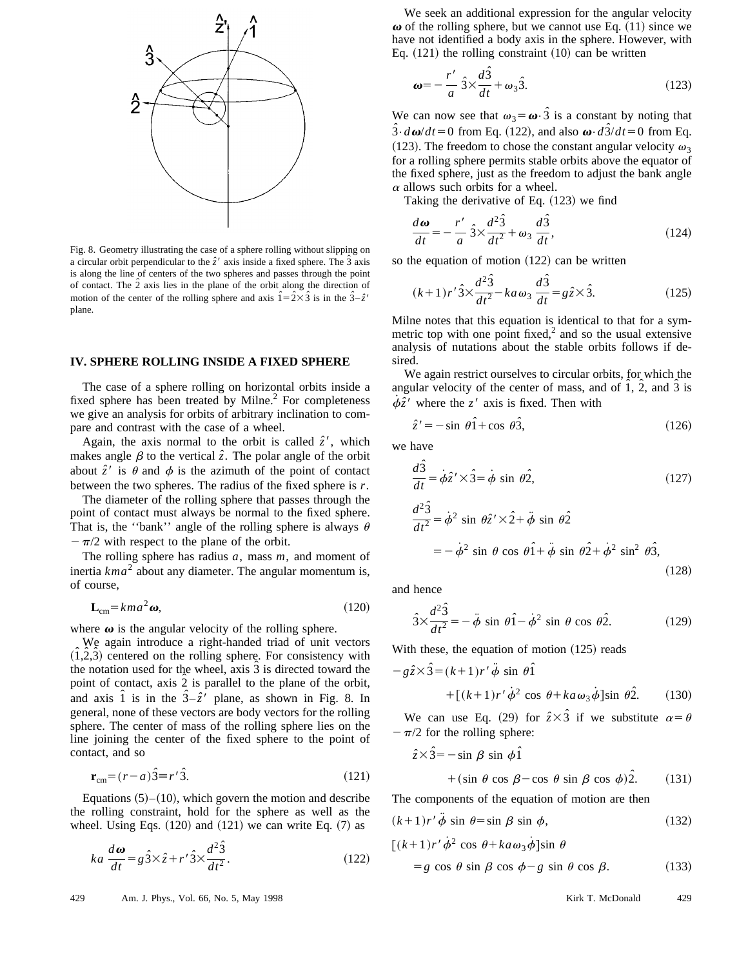

Fig. 8. Geometry illustrating the case of a sphere rolling without slipping on a circular orbit perpendicular to the  $\hat{z}^{\prime}$  axis inside a fixed sphere. The  $\hat{3}$  axis is along the line of centers of the two spheres and passes through the point of contact. The 2ˆ axis lies in the plane of the orbit along the direction of motion of the center of the rolling sphere and axis  $\hat{1} = 2 \times 3$  is in the  $3-\hat{z}$ ' plane.

# **IV. SPHERE ROLLING INSIDE A FIXED SPHERE**

The case of a sphere rolling on horizontal orbits inside a fixed sphere has been treated by Milne.<sup>2</sup> For completeness we give an analysis for orbits of arbitrary inclination to compare and contrast with the case of a wheel.

Again, the axis normal to the orbit is called  $\hat{z}'$ , which makes angle  $\beta$  to the vertical  $\hat{z}$ . The polar angle of the orbit about  $\hat{z}'$  is  $\theta$  and  $\phi$  is the azimuth of the point of contact between the two spheres. The radius of the fixed sphere is *r*.

The diameter of the rolling sphere that passes through the point of contact must always be normal to the fixed sphere. That is, the "bank" angle of the rolling sphere is always  $\theta$  $-\pi/2$  with respect to the plane of the orbit.

The rolling sphere has radius *a*, mass *m*, and moment of inertia  $kma^2$  about any diameter. The angular momentum is, of course,

$$
\mathbf{L}_{\rm cm} = kma^2 \boldsymbol{\omega},\tag{120}
$$

where  $\omega$  is the angular velocity of the rolling sphere.

We again introduce a right-handed triad of unit vectors  $(1, 2, 3)$  centered on the rolling sphere. For consistency with the notation used for the wheel, axis 3ˆ is directed toward the point of contact, axis 2 is parallel to the plane of the orbit, and axis  $\hat{1}$  is in the  $\hat{3} - \hat{z}$  plane, as shown in Fig. 8. In general, none of these vectors are body vectors for the rolling sphere. The center of mass of the rolling sphere lies on the line joining the center of the fixed sphere to the point of contact, and so

$$
\mathbf{r}_{\rm cm} = (r - a)\hat{\mathbf{3}} \equiv r'\hat{\mathbf{3}}.\tag{121}
$$

Equations  $(5)$ – $(10)$ , which govern the motion and describe the rolling constraint, hold for the sphere as well as the wheel. Using Eqs.  $(120)$  and  $(121)$  we can write Eq.  $(7)$  as

$$
ka\,\frac{d\omega}{dt} = g\hat{3}\times\hat{z} + r'\hat{3}\times\frac{d^2\hat{3}}{dt^2}.
$$
\n(122)

429 Am. J. Phys., Vol. 66, No. 5, May 1998 **Kirk T. McDonald** 429

We seek an additional expression for the angular velocity  $\omega$  of the rolling sphere, but we cannot use Eq. (11) since we have not identified a body axis in the sphere. However, with Eq.  $(121)$  the rolling constraint  $(10)$  can be written

$$
\omega = -\frac{r'}{a} \hat{3} \times \frac{d\hat{3}}{dt} + \omega_3 \hat{3}.
$$
 (123)

We can now see that  $\omega_3 = \omega \cdot \hat{3}$  is a constant by noting that  $\hat{3} \cdot d\omega/dt = 0$  from Eq. (122), and also  $\omega \cdot d\hat{3}/dt = 0$  from Eq. (123). The freedom to chose the constant angular velocity  $\omega_3$ for a rolling sphere permits stable orbits above the equator of the fixed sphere, just as the freedom to adjust the bank angle  $\alpha$  allows such orbits for a wheel.

Taking the derivative of Eq.  $(123)$  we find

$$
\frac{d\omega}{dt} = -\frac{r'}{a} \hat{3} \times \frac{d^2 \hat{3}}{dt^2} + \omega_3 \frac{d\hat{3}}{dt},\qquad(124)
$$

so the equation of motion  $(122)$  can be written

$$
(k+1)r'\hat{3} \times \frac{d^2 \hat{3}}{dt^2} - ka\omega_3 \frac{d\hat{3}}{dt} = g\hat{z} \times \hat{3}.
$$
 (125)

Milne notes that this equation is identical to that for a symmetric top with one point fixed, $<sup>2</sup>$  and so the usual extensive</sup> analysis of nutations about the stable orbits follows if desired.

We again restrict ourselves to circular orbits, for which the angular velocity of the center of mass, and of  $1, 2$ , and  $3$  is  $\phi \hat{z}'$  where the  $z'$  axis is fixed. Then with

$$
\hat{z}' = -\sin\,\theta \,\hat{1} + \cos\,\theta \,\hat{3},\tag{126}
$$

we have

$$
\frac{d\hat{3}}{dt} = \dot{\phi}\hat{z}' \times \hat{3} = \dot{\phi} \sin \theta \hat{2},
$$
\n
$$
\frac{d^2\hat{3}}{dt^2} = \dot{\phi}^2 \sin \theta \hat{z}' \times \hat{2} + \ddot{\phi} \sin \theta \hat{2}
$$
\n(127)

$$
= -\dot{\phi}^2 \sin \theta \cos \theta \hat{1} + \ddot{\phi} \sin \theta \hat{2} + \dot{\phi}^2 \sin^2 \theta \hat{3},
$$
\n(128)

and hence

$$
\hat{3} \times \frac{d^2 \hat{3}}{dt^2} = -\ddot{\phi} \sin \theta \hat{1} - \dot{\phi}^2 \sin \theta \cos \theta \hat{2}.
$$
 (129)

With these, the equation of motion  $(125)$  reads

$$
-g\hat{z}\times\hat{3} = (k+1)r'\ddot{\phi}\sin\theta\hat{1}
$$
  
 
$$
+[(k+1)r'\dot{\phi}^2\cos\theta + ka\omega_3\dot{\phi}]\sin\theta\hat{2}.
$$
 (130)

We can use Eq. (29) for  $\hat{z} \times \hat{3}$  if we substitute  $\alpha = \theta$  $-\pi/2$  for the rolling sphere:

$$
\hat{z} \times \hat{3} = -\sin \beta \sin \phi \hat{1} + (\sin \theta \cos \beta - \cos \theta \sin \beta \cos \phi) \hat{2}.
$$
 (131)

The components of the equation of motion are then

$$
(k+1)r'\ddot{\phi}\sin\theta = \sin\beta\sin\phi,\tag{132}
$$

$$
[(k+1)r'\dot{\phi}^2\cos\theta + ka\omega_3\dot{\phi}] \sin\theta
$$
  
= g\cos\theta \sin\beta \cos\phi - g\sin\theta \cos\beta. (133)